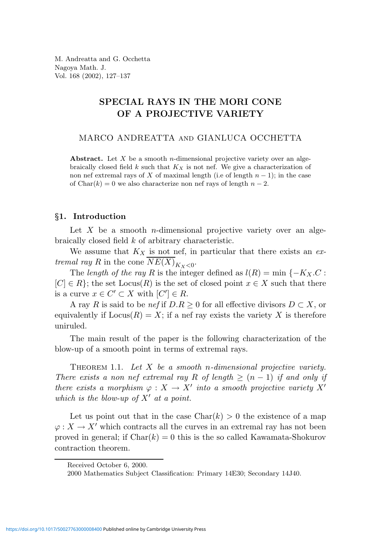M. Andreatta and G. Occhetta Nagoya Math. J. Vol. 168 (2002), 127–137

# SPECIAL RAYS IN THE MORI CONE OF A PROJECTIVE VARIETY

MARCO ANDREATTA and GIANLUCA OCCHETTA

Abstract. Let  $X$  be a smooth *n*-dimensional projective variety over an algebraically closed field  $k$  such that  $K_X$  is not nef. We give a characterization of non nef extremal rays of X of maximal length (i.e of length  $n - 1$ ); in the case of Char(k) = 0 we also characterize non nef rays of length  $n-2$ .

# §1. Introduction

Let  $X$  be a smooth *n*-dimensional projective variety over an algebraically closed field k of arbitrary characteristic.

We assume that  $K_X$  is not nef, in particular that there exists an extremal ray R in the cone  $NE(X)_{K_X<0}$ .

The length of the ray R is the integer defined as  $l(R) = \min \{-K_X.C$ :  $[C] \in R$ ; the set  $Locus(R)$  is the set of closed point  $x \in X$  such that there is a curve  $x \in C' \subset X$  with  $[C'] \in R$ .

A ray R is said to be nef if  $D.R \geq 0$  for all effective divisors  $D \subset X$ , or equivalently if  $Locus(R) = X$ ; if a nef ray exists the variety X is therefore uniruled.

The main result of the paper is the following characterization of the blow-up of a smooth point in terms of extremal rays.

THEOREM 1.1. Let  $X$  be a smooth n-dimensional projective variety. There exists a non nef extremal ray R of length  $\geq (n-1)$  if and only if there exists a morphism  $\varphi: X \to X'$  into a smooth projective variety  $X'$ which is the blow-up of  $X'$  at a point.

Let us point out that in the case  $Char(k) > 0$  the existence of a map  $\varphi: X \to X'$  which contracts all the curves in an extremal ray has not been proved in general; if  $Char(k) = 0$  this is the so called Kawamata-Shokurov contraction theorem.

Received October 6, 2000.

<sup>2000</sup> Mathematics Subject Classification: Primary 14E30; Secondary 14J40.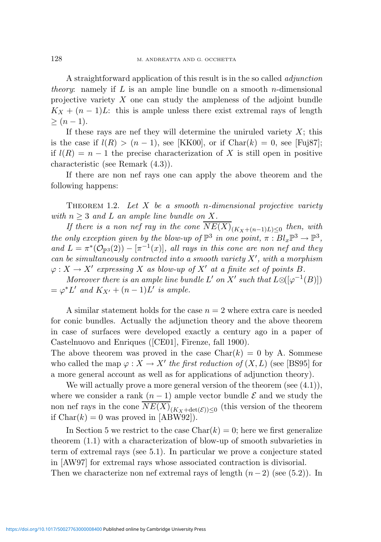A straightforward application of this result is in the so called adjunction *theory:* namely if L is an ample line bundle on a smooth n-dimensional projective variety  $X$  one can study the ampleness of the adjoint bundle  $K_X + (n-1)L$ : this is ample unless there exist extremal rays of length  $> (n-1).$ 

If these rays are nef they will determine the uniruled variety  $X$ ; this is the case if  $l(R) > (n-1)$ , see [KK00], or if Char $(k) = 0$ , see [Fuj87]; if  $l(R) = n - 1$  the precise characterization of X is still open in positive characteristic (see Remark (4.3)).

If there are non nef rays one can apply the above theorem and the following happens:

THEOREM 1.2. Let  $X$  be a smooth n-dimensional projective variety with  $n \geq 3$  and L an ample line bundle on X.

If there is a non nef ray in the cone  $NE(X)_{(K_X+(n-1)L)\leq 0}$  then, with the only exception given by the blow-up of  $\mathbb{P}^3$  in one point,  $\pi : Bl_x\mathbb{P}^3 \to \mathbb{P}^3$ , and  $L = \pi^*(\mathcal{O}_{\mathbb{P}^3}(2)) - [\pi^{-1}(x)],$  all rays in this cone are non nef and they can be simultaneously contracted into a smooth variety  $X'$ , with a morphism  $\varphi: X \to X'$  expressing X as blow-up of X' at a finite set of points B.

Moreover there is an ample line bundle L' on X' such that  $L \otimes ([\varphi^{-1}(B)])$  $=\varphi^*L'$  and  $K_{X'}+(n-1)L'$  is ample.

A similar statement holds for the case  $n = 2$  where extra care is needed for conic bundles. Actually the adjunction theory and the above theorem in case of surfaces were developed exactly a century ago in a paper of Castelnuovo and Enriques ([CE01], Firenze, fall 1900).

The above theorem was proved in the case  $Char(k) = 0$  by A. Sommese who called the map  $\varphi: X \to X'$  the first reduction of  $(X, L)$  (see [BS95] for a more general account as well as for applications of adjunction theory).

We will actually prove a more general version of the theorem (see  $(4.1)$ ), where we consider a rank  $(n-1)$  ample vector bundle  $\mathcal E$  and we study the non nef rays in the cone  $NE(X)_{(K_X + \det(\mathcal{E})) \leq 0}$  (this version of the theorem if  $Char(k) = 0$  was proved in [ABW92]).

In Section 5 we restrict to the case  $Char(k) = 0$ ; here we first generalize theorem (1.1) with a characterization of blow-up of smooth subvarieties in term of extremal rays (see 5.1). In particular we prove a conjecture stated in [AW97] for extremal rays whose associated contraction is divisorial. Then we characterize non nef extremal rays of length  $(n-2)$  (see (5.2)). In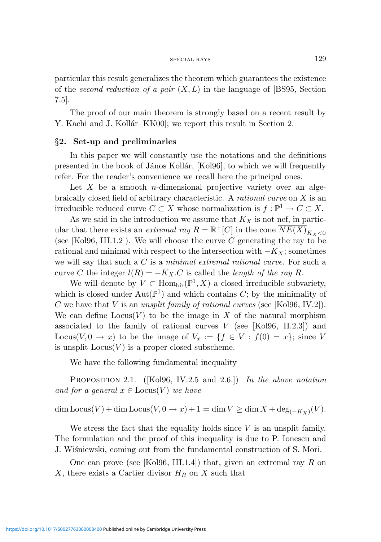particular this result generalizes the theorem which guarantees the existence of the second reduction of a pair  $(X, L)$  in the language of [BS95, Section 7.5].

The proof of our main theorem is strongly based on a recent result by Y. Kachi and J. Kollár [KK00]; we report this result in Section 2.

# §2. Set-up and preliminaries

In this paper we will constantly use the notations and the definitions presented in the book of János Kollár, [Kol96], to which we will frequently refer. For the reader's convenience we recall here the principal ones.

Let X be a smooth *n*-dimensional projective variety over an algebraically closed field of arbitrary characteristic. A rational curve on X is an irreducible reduced curve  $C \subset X$  whose normalization is  $f: \mathbb{P}^1 \to C \subset X$ .

As we said in the introduction we assume that  $K_X$  is not nef, in particular that there exists an *extremal ray*  $R = \mathbb{R}^+[C]$  in the cone  $\overline{NE(X)}_{K_X<0}$ (see [Kol96, III.1.2]). We will choose the curve  $C$  generating the ray to be rational and minimal with respect to the intersection with  $-K_X$ ; sometimes we will say that such a  $C$  is a minimal extremal rational curve. For such a curve C the integer  $l(R) = -K_X.C$  is called the *length of the ray R*.

We will denote by  $V \subset \text{Hom}_{\text{bir}}(\mathbb{P}^1, X)$  a closed irreducible subvariety, which is closed under  $Aut(\mathbb{P}^1)$  and which contains C; by the minimality of C we have that V is an unsplit family of rational curves (see [Kol96, IV.2]). We can define  $Locus(V)$  to be the image in X of the natural morphism associated to the family of rational curves  $V$  (see [Kol96, II.2.3]) and Locus(V, 0  $\rightarrow x$ ) to be the image of  $V_x := \{f \in V : f(0) = x\}$ ; since V is unsplit  $Locus(V)$  is a proper closed subscheme.

We have the following fundamental inequality

PROPOSITION 2.1. (Kol96, IV.2.5 and 2.6.)) In the above notation and for a general  $x \in \text{Locus}(V)$  we have

 $\dim \text{Locus}(V) + \dim \text{Locus}(V, 0 \to x) + 1 = \dim V \ge \dim X + \deg_{(-K_X)}(V).$ 

We stress the fact that the equality holds since  $V$  is an unsplit family. The formulation and the proof of this inequality is due to P. Ionescu and J. Wiśniewski, coming out from the fundamental construction of S. Mori.

One can prove (see [Kol96, III.1.4]) that, given an extremal ray R on X, there exists a Cartier divisor  $H_R$  on X such that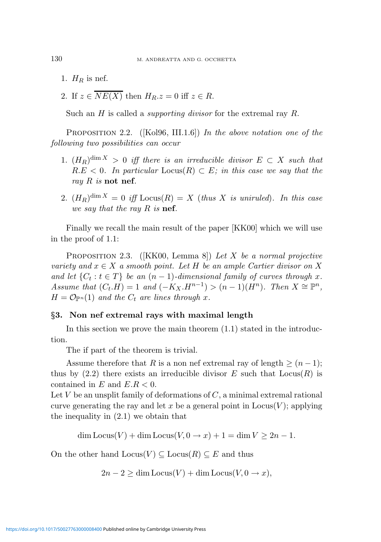- 1.  $H_R$  is nef.
- 2. If  $z \in \overline{NE(X)}$  then  $H_R.z = 0$  iff  $z \in R$ .

Such an H is called a *supporting divisor* for the extremal ray R.

PROPOSITION 2.2. ([Kol96, III.1.6]) In the above notation one of the following two possibilities can occur

- 1.  $(H_R)^{\dim X} > 0$  iff there is an irreducible divisor  $E \subset X$  such that  $R.E < 0$ . In particular  $Locus(R) \subset E$ ; in this case we say that the ray  $R$  is not nef.
- 2.  $(H_R)^{\dim X} = 0$  iff  $Locus(R) = X$  (thus X is uniruled). In this case we say that the ray R is nef.

Finally we recall the main result of the paper [KK00] which we will use in the proof of 1.1:

PROPOSITION 2.3. ([KK00, Lemma 8]) Let X be a normal projective variety and  $x \in X$  a smooth point. Let H be an ample Cartier divisor on X and let  $\{C_t : t \in T\}$  be an  $(n-1)$ -dimensional family of curves through x. Assume that  $(C_t.H) = 1$  and  $(-K_X.H^{n-1}) > (n-1)(H^n)$ . Then  $X \cong \mathbb{P}^n$ ,  $H = \mathcal{O}_{\mathbb{P}^n}(1)$  and the  $C_t$  are lines through x.

# §3. Non nef extremal rays with maximal length

In this section we prove the main theorem  $(1.1)$  stated in the introduction.

The if part of the theorem is trivial.

Assume therefore that R is a non nef extremal ray of length  $\geq (n-1)$ ; thus by  $(2.2)$  there exists an irreducible divisor E such that  $Locus(R)$  is contained in E and  $E.R < 0$ .

Let  $V$  be an unsplit family of deformations of  $C$ , a minimal extremal rational curve generating the ray and let x be a general point in  $Locus(V)$ ; applying the inequality in (2.1) we obtain that

 $\dim$  Locus(V) +  $\dim$  Locus(V,  $0 \rightarrow x$ ) + 1 =  $\dim$  V > 2n - 1.

On the other hand  $\text{Locus}(V) \subseteq \text{Locus}(R) \subseteq E$  and thus

$$
2n - 2 \ge \dim \text{Locus}(V) + \dim \text{Locus}(V, 0 \to x),
$$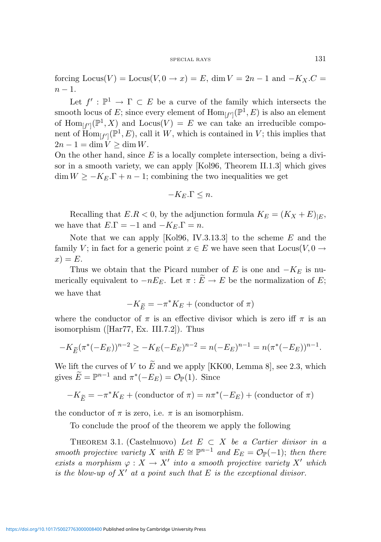#### SPECIAL RAYS 131

forcing  $\text{Locus}(V) = \text{Locus}(V, 0 \to x) = E$ , dim  $V = 2n - 1$  and  $-K_X.C =$  $n-1$ .

Let  $f': \mathbb{P}^1 \to \Gamma \subset E$  be a curve of the family which intersects the smooth locus of E; since every element of  $\text{Hom}_{[f']}(P^1, E)$  is also an element of  $\text{Hom}_{[f']}(\mathbb{P}^1, X)$  and  $\text{Locus}(V) = E$  we can take an irreducible component of  $\text{Hom}_{[f']}(P^1, E)$ , call it W, which is contained in V; this implies that  $2n-1 = \dim V \ge \dim W$ .

On the other hand, since  $E$  is a locally complete intersection, being a divisor in a smooth variety, we can apply [Kol96, Theorem II.1.3] which gives  $\dim W \ge -K_E.\Gamma + n-1$ ; combining the two inequalities we get

$$
-K_E.\Gamma \leq n.
$$

Recalling that  $E.R < 0$ , by the adjunction formula  $K_E = (K_X + E)_{|E}$ , we have that  $E.\Gamma = -1$  and  $-K_E.\Gamma = n$ .

Note that we can apply [Kol96, IV.3.13.3] to the scheme  $E$  and the family V; in fact for a generic point  $x \in E$  we have seen that  $Locus(V, 0 \rightarrow$  $x) = E.$ 

Thus we obtain that the Picard number of E is one and  $-K_E$  is numerically equivalent to  $-nE_E$ . Let  $\pi : \widetilde{E} \to E$  be the normalization of E; we have that

$$
-K_{\widetilde{E}} = -\pi^* K_E + (\text{conductor of }\pi)
$$

where the conductor of  $\pi$  is an effective divisor which is zero iff  $\pi$  is an isomorphism ([Har77, Ex. III.7.2]). Thus

$$
-K_{\widetilde{E}}(\pi^*(-E_E))^{n-2} \ge -K_E(-E_E)^{n-2} = n(-E_E)^{n-1} = n(\pi^*(-E_E))^{n-1}.
$$

We lift the curves of V to  $\widetilde{E}$  and we apply [KK00, Lemma 8], see 2.3, which gives  $\widetilde{E} = \mathbb{P}^{n-1}$  and  $\pi^*(-E_E) = \mathcal{O}_{\mathbb{P}}(1)$ . Since

$$
-K_{\widetilde{E}} = -\pi^* K_E + (\text{conductor of } \pi) = n\pi^*(-E_E) + (\text{conductor of } \pi)
$$

the conductor of  $\pi$  is zero, i.e.  $\pi$  is an isomorphism.

To conclude the proof of the theorem we apply the following

THEOREM 3.1. (Castelnuovo) Let  $E \subset X$  be a Cartier divisor in a smooth projective variety X with  $E \cong \mathbb{P}^{n-1}$  and  $E_E = \mathcal{O}_{\mathbb{P}}(-1)$ ; then there exists a morphism  $\varphi: X \to X'$  into a smooth projective variety X' which is the blow-up of  $X<sup>'</sup>$  at a point such that E is the exceptional divisor.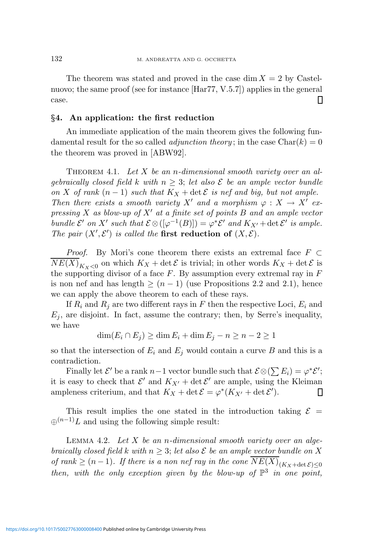The theorem was stated and proved in the case dim  $X = 2$  by Castelnuovo; the same proof (see for instance [Har77, V.5.7]) applies in the general case. Π

# §4. An application: the first reduction

An immediate application of the main theorem gives the following fundamental result for the so called *adjunction theory*; in the case  $Char(k) = 0$ the theorem was proved in [ABW92].

THEOREM 4.1. Let X be an n-dimensional smooth variety over an alqebraically closed field k with  $n \geq 3$ ; let also  $\mathcal E$  be an ample vector bundle on X of rank  $(n-1)$  such that  $K_X + \det \mathcal{E}$  is nef and big, but not ample. Then there exists a smooth variety X' and a morphism  $\varphi : X \to X'$  expressing X as blow-up of X' at a finite set of points B and an ample vector bundle  $\mathcal{E}'$  on X' such that  $\mathcal{E} \otimes ([\varphi^{-1}(B)]) = \varphi^* \mathcal{E}'$  and  $K_{X'} + \det \mathcal{E}'$  is ample. The pair  $(X', \mathcal{E}')$  is called the first reduction of  $(X, \mathcal{E})$ .

*Proof.* By Mori's cone theorem there exists an extremal face  $F \subset$  $NE(X)_{K_X<0}$  on which  $K_X + \det \mathcal{E}$  is trivial; in other words  $K_X + \det \mathcal{E}$  is the supporting divisor of a face  $F$ . By assumption every extremal ray in  $F$ is non nef and has length  $\geq (n-1)$  (use Propositions 2.2 and 2.1), hence we can apply the above theorem to each of these rays.

If  $R_i$  and  $R_j$  are two different rays in F then the respective Loci,  $E_i$  and  $E_i$ , are disjoint. In fact, assume the contrary; then, by Serre's inequality, we have

 $\dim(E_i \cap E_j) \geq \dim E_i + \dim E_j - n \geq n - 2 \geq 1$ 

so that the intersection of  $E_i$  and  $E_j$  would contain a curve B and this is a contradiction.

Finally let  $\mathcal{E}'$  be a rank  $n-1$  vector bundle such that  $\mathcal{E} \otimes (\sum E_i) = \varphi^* \mathcal{E}'$ ; it is easy to check that  $\mathcal{E}'$  and  $K_{X'} + \det \mathcal{E}'$  are ample, using the Kleiman ampleness criterium, and that  $K_X + \det \mathcal{E} = \varphi^*(K_{X'} + \det \mathcal{E}').$  $\mathsf{I}$ 

This result implies the one stated in the introduction taking  $\mathcal{E}$  =  $\bigoplus^{(n-1)} L$  and using the following simple result:

LEMMA 4.2. Let  $X$  be an n-dimensional smooth variety over an algebraically closed field k with  $n \geq 3$ ; let also  $\mathcal E$  be an ample vector bundle on X of rank  $\geq (n-1)$ . If there is a non nef ray in the cone  $NE(X)_{(K_X + \det \mathcal{E}) \leq 0}$ then, with the only exception given by the blow-up of  $\mathbb{P}^3$  in one point,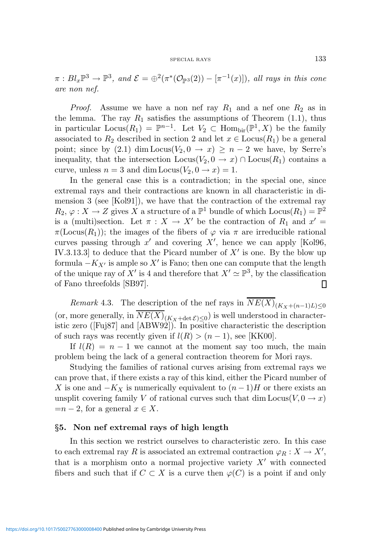$\pi:Bl_x\mathbb{P}^3\to\mathbb{P}^3$ , and  $\mathcal{E}=\bigoplus^2(\pi^*(\mathcal{O}_{\mathbb{P}^3}(2)) - [\pi^{-1}(x)]\big)$ , all rays in this cone are non nef.

*Proof.* Assume we have a non nef ray  $R_1$  and a nef one  $R_2$  as in the lemma. The ray  $R_1$  satisfies the assumptions of Theorem (1.1), thus in particular  $\text{Locus}(R_1) = \mathbb{P}^{n-1}$ . Let  $V_2 \subset \text{Hom}_{\text{bir}}(\mathbb{P}^1, X)$  be the family associated to  $R_2$  described in section 2 and let  $x \in \text{Locus}(R_1)$  be a general point; since by (2.1) dim Locus( $V_2, 0 \rightarrow x$ ) ≥  $n-2$  we have, by Serre's inequality, that the intersection  $Locus(V_2, 0 \to x) \cap Locus(R_1)$  contains a curve, unless  $n = 3$  and dim Locus $(V_2, 0 \rightarrow x) = 1$ .

In the general case this is a contradiction; in the special one, since extremal rays and their contractions are known in all characteristic in dimension 3 (see [Kol91]), we have that the contraction of the extremal ray  $R_2, \varphi: X \to Z$  gives X a structure of a  $\mathbb{P}^1$  bundle of which  $\text{Locus}(R_1) = \mathbb{P}^2$ is a (multi)section. Let  $\pi : X \to X'$  be the contraction of  $R_1$  and  $x' =$  $\pi(\text{Locus}(R_1))$ ; the images of the fibers of  $\varphi$  via  $\pi$  are irreducible rational curves passing through  $x'$  and covering  $X'$ , hence we can apply [Kol96, IV.3.13.3 to deduce that the Picard number of  $X'$  is one. By the blow up formula  $-K_{X'}$  is ample so X' is Fano; then one can compute that the length of the unique ray of X' is 4 and therefore that  $X' \simeq \mathbb{P}^3$ , by the classification of Fano threefolds [SB97]. ▯

*Remark* 4.3. The description of the nef rays in  $NE(X)_{(K_X+(n-1)L)\leq 0}$ (or, more generally, in  $NE(X)_{(K_X + \det \mathcal{E}) \leq 0})$  is well understood in characteristic zero ([Fuj87] and [ABW92]). In positive characteristic the description of such rays was recently given if  $l(R) > (n-1)$ , see [KK00].

If  $l(R) = n - 1$  we cannot at the moment say too much, the main problem being the lack of a general contraction theorem for Mori rays.

Studying the families of rational curves arising from extremal rays we can prove that, if there exists a ray of this kind, either the Picard number of X is one and  $-K_X$  is numerically equivalent to  $(n-1)H$  or there exists an unsplit covering family V of rational curves such that dim  $Locus(V, 0 \rightarrow x)$  $=n-2$ , for a general  $x \in X$ .

# §5. Non nef extremal rays of high length

In this section we restrict ourselves to characteristic zero. In this case to each extremal ray R is associated an extremal contraction  $\varphi_R : X \to X'$ , that is a morphism onto a normal projective variety  $X'$  with connected fibers and such that if  $C \subset X$  is a curve then  $\varphi(C)$  is a point if and only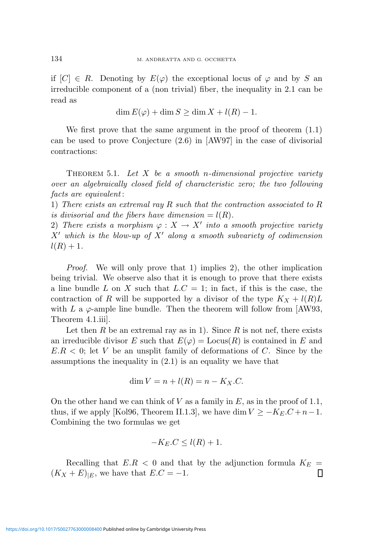if  $[C] \in R$ . Denoting by  $E(\varphi)$  the exceptional locus of  $\varphi$  and by S an irreducible component of a (non trivial) fiber, the inequality in 2.1 can be read as

$$
\dim E(\varphi) + \dim S \ge \dim X + l(R) - 1.
$$

We first prove that the same argument in the proof of theorem (1.1) can be used to prove Conjecture (2.6) in [AW97] in the case of divisorial contractions:

THEOREM 5.1. Let  $X$  be a smooth n-dimensional projective variety over an algebraically closed field of characteristic zero; the two following facts are equivalent :

1) There exists an extremal ray R such that the contraction associated to R is divisorial and the fibers have dimension  $= l(R)$ .

2) There exists a morphism  $\varphi: X \to X'$  into a smooth projective variety  $X'$  which is the blow-up of  $X'$  along a smooth subvariety of codimension  $l(R) + 1.$ 

Proof. We will only prove that 1) implies 2), the other implication being trivial. We observe also that it is enough to prove that there exists a line bundle L on X such that  $L.C = 1$ ; in fact, if this is the case, the contraction of R will be supported by a divisor of the type  $K_X + l(R)L$ with L a  $\varphi$ -ample line bundle. Then the theorem will follow from [AW93, Theorem 4.1.iii].

Let then R be an extremal ray as in 1). Since R is not nef, there exists an irreducible divisor E such that  $E(\varphi) = \text{Locus}(R)$  is contained in E and  $E.R < 0$ ; let V be an unsplit family of deformations of C. Since by the assumptions the inequality in (2.1) is an equality we have that

$$
\dim V = n + l(R) = n - K_X.C.
$$

On the other hand we can think of V as a family in  $E$ , as in the proof of 1.1, thus, if we apply [Kol96, Theorem II.1.3], we have dim  $V \ge -K_E.C + n-1$ . Combining the two formulas we get

$$
-K_E.C \le l(R) + 1.
$$

Recalling that  $E.R < 0$  and that by the adjunction formula  $K_E =$  $(K_X + E)_{|E}$ , we have that  $E.C = -1$ . О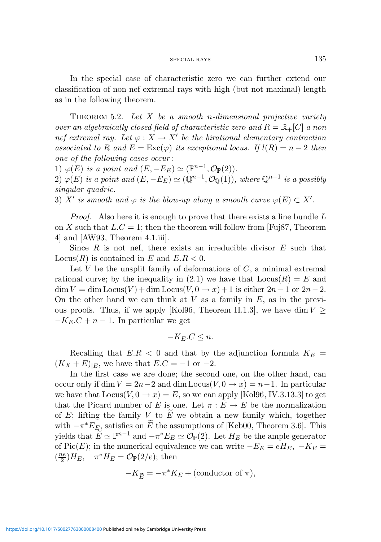In the special case of characteristic zero we can further extend our classification of non nef extremal rays with high (but not maximal) length as in the following theorem.

THEOREM 5.2. Let  $X$  be a smooth n-dimensional projective variety over an algebraically closed field of characteristic zero and  $R = \mathbb{R}_+ [C]$  a non nef extremal ray. Let  $\varphi: X \to X'$  be the birational elementary contraction associated to R and  $E = \text{Exc}(\varphi)$  its exceptional locus. If  $l(R) = n - 2$  then one of the following cases occur :

1)  $\varphi(E)$  is a point and  $(E, -E_E) \simeq (\mathbb{P}^{n-1}, \mathcal{O}_{\mathbb{P}}(2)).$ 

2)  $\varphi(E)$  is a point and  $(E, -E_E) \simeq (\mathbb{Q}^{n-1}, \mathcal{O}_{\mathbb{Q}}(1)),$  where  $\mathbb{Q}^{n-1}$  is a possibly singular quadric.

3) X' is smooth and  $\varphi$  is the blow-up along a smooth curve  $\varphi(E) \subset X'.$ 

*Proof.* Also here it is enough to prove that there exists a line bundle  $L$ on X such that  $L.C = 1$ ; then the theorem will follow from [Fuj87, Theorem 4] and [AW93, Theorem 4.1.iii].

Since  $R$  is not nef, there exists an irreducible divisor  $E$  such that Locus $(R)$  is contained in E and  $E.R < 0$ .

Let  $V$  be the unsplit family of deformations of  $C$ , a minimal extremal rational curve; by the inequality in  $(2.1)$  we have that  $Locus(R) = E$  and  $\dim V = \dim \text{Locus}(V) + \dim \text{Locus}(V, 0 \to x) + 1$  is either  $2n-1$  or  $2n-2$ . On the other hand we can think at  $V$  as a family in  $E$ , as in the previous proofs. Thus, if we apply [Kol96, Theorem II.1.3], we have dim  $V \geq$  $-K_E.C + n - 1$ . In particular we get

$$
-K_E.C \le n.
$$

Recalling that  $E.R < 0$  and that by the adjunction formula  $K_E =$  $(K_X + E)_{E}$ , we have that  $E.C = -1$  or  $-2$ .

In the first case we are done; the second one, on the other hand, can occur only if dim  $V = 2n-2$  and dim Locus( $V, 0 \rightarrow x$ ) = n-1. In particular we have that  $Locus(V, 0 \rightarrow x) = E$ , so we can apply [Kol96, IV.3.13.3] to get that the Picard number of E is one. Let  $\pi : E \to E$  be the normalization of E; lifting the family V to  $\widetilde{E}$  we obtain a new family which, together with  $-\pi^*E_{\overline{E}_2}$  satisfies on  $\widetilde{E}$  the assumptions of [Keb00, Theorem 3.6]. This yields that  $\widetilde{E} \simeq \mathbb{P}^{n-1}$  and  $-\pi^* E_E \simeq \mathcal{O}_{\mathbb{P}}(2)$ . Let  $H_E$  be the ample generator of Pic(E); in the numerical equivalence we can write  $-E_E = eH_E$ ,  $-K_E =$  $\left(\frac{ne}{2}\right)$  $\frac{ae}{2}$ ) $H_E$ ,  $\pi^* H_E = \mathcal{O}_{\mathbb{P}}(2/e)$ ; then

$$
-K_{\widetilde{E}} = -\pi^* K_E + (\text{conductor of } \pi),
$$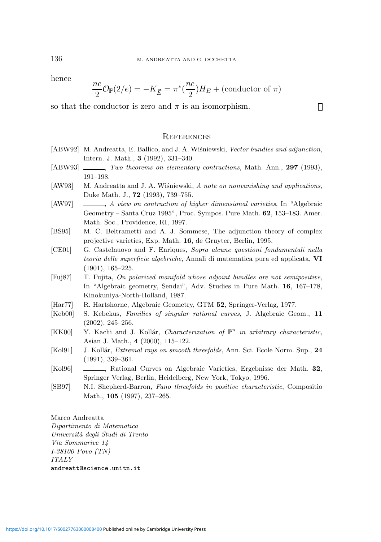hence

$$
\frac{ne}{2}\mathcal{O}_{\mathbb{P}}(2/e) = -K_{\widetilde{E}} = \pi^*(\frac{ne}{2})H_E + (\text{conductor of }\pi)
$$

П

so that the conductor is zero and  $\pi$  is an isomorphism.

### **REFERENCES**

- [ABW92] M. Andreatta, E. Ballico, and J. A. Wiśniewski, Vector bundles and adjunction, Intern. J. Math., 3 (1992), 331–340.
- [ABW93]  $\_\_\_\_\_\_\_\_\$ Two theorems on elementary contractions, Math. Ann., 297 (1993), 191–198.
- [AW93] M. Andreatta and J. A. Wisniewski, A note on nonvanishing and applications, Duke Math. J., 72 (1993), 739–755.
- [AW97]  $\_\_\_\_\_\_\_\_\_\_\_\_\_\_\_\_\_\_\_\_\_\_\_\_\_\_\_\_\_\.\_$ Geometry – Santa Cruz 1995", Proc. Sympos. Pure Math. 62, 153–183. Amer. Math. Soc., Providence, RI, 1997.
- [BS95] M. C. Beltrametti and A. J. Sommese, The adjunction theory of complex projective varieties, Exp. Math. 16, de Gruyter, Berlin, 1995.
- [CE01] G. Castelnuovo and F. Enriques, Sopra alcune questioni fondamentali nella teoria delle superficie algebriche, Annali di matematica pura ed applicata, VI (1901), 165–225.
- [Fuj87] T. Fujita, On polarized manifold whose adjoint bundles are not semipositive, In "Algebraic geometry, Sendai", Adv. Studies in Pure Math. 16, 167–178, Kinokuniya-North-Holland, 1987.
- [Har77] R. Hartshorne, Algebraic Geometry, GTM 52, Springer-Verlag, 1977.
- [Keb00] S. Kebekus, Families of singular rational curves, J. Algebraic Geom., 11 (2002), 245–256.
- [KK00] Y. Kachi and J. Kollár, *Characterization of*  $\mathbb{P}^n$  in arbitrary characteristic, Asian J. Math., 4 (2000), 115–122.
- [Kol91] J. Kollár, *Extremal rays on smooth threefolds*, Ann. Sci. Ecole Norm. Sup., 24 (1991), 339–361.
- [Kol96] , Rational Curves on Algebraic Varieties, Ergebnisse der Math. 32, Springer Verlag, Berlin, Heidelberg, New York, Tokyo, 1996.
- [SB97] N.I. Shepherd-Barron, Fano threefolds in positive characteristic, Compositio Math., 105 (1997), 237–265.

Marco Andreatta Dipartimento di Matematica Universit`a degli Studi di Trento Via Sommarive 14 I-38100 Povo (TN) ITALY andreatt@science.unitn.it